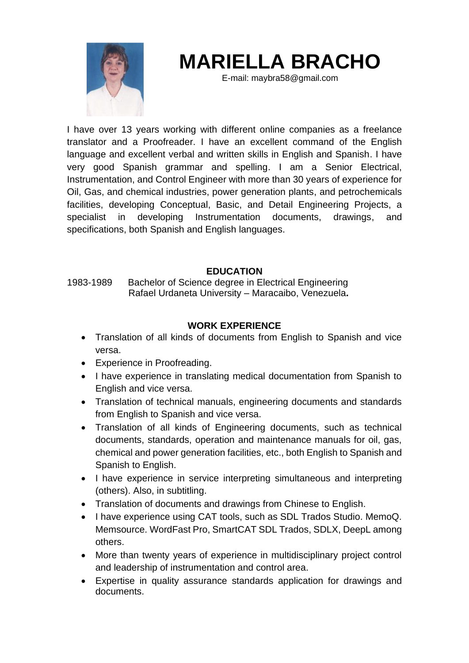

# **MARIELLA BRACHO**

E-mail: maybra58@gmail.com

I have over 13 years working with different online companies as a freelance translator and a Proofreader. I have an excellent command of the English language and excellent verbal and written skills in English and Spanish. I have very good Spanish grammar and spelling. I am a Senior Electrical, Instrumentation, and Control Engineer with more than 30 years of experience for Oil, Gas, and chemical industries, power generation plants, and petrochemicals facilities, developing Conceptual, Basic, and Detail Engineering Projects, a specialist in developing Instrumentation documents, drawings, and specifications, both Spanish and English languages.

#### **EDUCATION**

1983-1989 Bachelor of Science degree in Electrical Engineering Rafael Urdaneta University – Maracaibo, Venezuela**.** 

#### **WORK EXPERIENCE**

- Translation of all kinds of documents from English to Spanish and vice versa.
- Experience in Proofreading.
- I have experience in translating medical documentation from Spanish to English and vice versa.
- Translation of technical manuals, engineering documents and standards from English to Spanish and vice versa.
- Translation of all kinds of Engineering documents, such as technical documents, standards, operation and maintenance manuals for oil, gas, chemical and power generation facilities, etc., both English to Spanish and Spanish to English.
- I have experience in service interpreting simultaneous and interpreting (others). Also, in subtitling.
- Translation of documents and drawings from Chinese to English.
- I have experience using CAT tools, such as SDL Trados Studio. MemoQ. Memsource. WordFast Pro, SmartCAT SDL Trados, SDLX, DeepL among others.
- More than twenty years of experience in multidisciplinary project control and leadership of instrumentation and control area.
- Expertise in quality assurance standards application for drawings and documents.